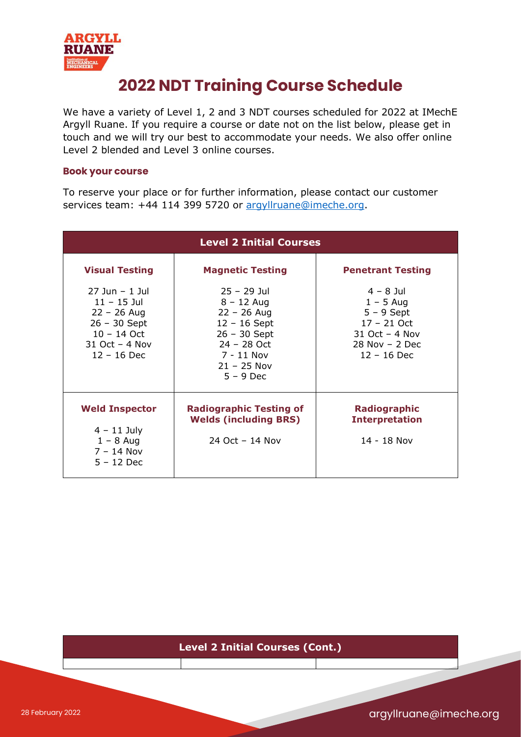

# **2022 NDT Training Course Schedule**

We have a variety of Level 1, 2 and 3 NDT courses scheduled for 2022 at IMechE Argyll Ruane. If you require a course or date not on the list below, please get in touch and we will try our best to accommodate your needs. We also offer online Level 2 blended and Level 3 online courses.

## **Book your course**

To reserve your place or for further information, please contact our customer services team: +44 114 399 5720 or [argyllruane@imeche.org.](mailto:argyllruane@imeche.org)

| <b>Level 2 Initial Courses</b>                                                                                           |                                                                                                                                                 |                                                                                                                    |  |  |
|--------------------------------------------------------------------------------------------------------------------------|-------------------------------------------------------------------------------------------------------------------------------------------------|--------------------------------------------------------------------------------------------------------------------|--|--|
| <b>Visual Testing</b>                                                                                                    | <b>Magnetic Testing</b>                                                                                                                         | <b>Penetrant Testing</b>                                                                                           |  |  |
| $27$ Jun - 1 Jul<br>$11 - 15$ Jul<br>$22 - 26$ Aug<br>$26 - 30$ Sept<br>$10 - 14$ Oct<br>31 Oct - 4 Nov<br>$12 - 16$ Dec | $25 - 29$ Jul<br>$8 - 12$ Aug<br>$22 - 26$ Aug<br>$12 - 16$ Sept<br>$26 - 30$ Sept<br>24 - 28 Oct<br>7 - 11 Nov<br>$21 - 25$ Nov<br>$5 - 9$ Dec | $4 - 8$ Jul<br>$1 - 5$ Aug<br>$5 - 9$ Sept<br>$17 - 21$ Oct<br>31 Oct - 4 Nov<br>28 Nov $-$ 2 Dec<br>$12 - 16$ Dec |  |  |
| <b>Weld Inspector</b><br>$4 - 11$ July<br>$1 - 8$ Aug<br>$7 - 14$ Nov<br>$5 - 12$ Dec                                    | <b>Radiographic Testing of</b><br><b>Welds (including BRS)</b><br>24 Oct - 14 Nov                                                               | <b>Radiographic</b><br><b>Interpretation</b><br>$14 - 18$ Nov                                                      |  |  |

# **Level 2 Initial Courses (Cont.)**

argyllruane@imeche.org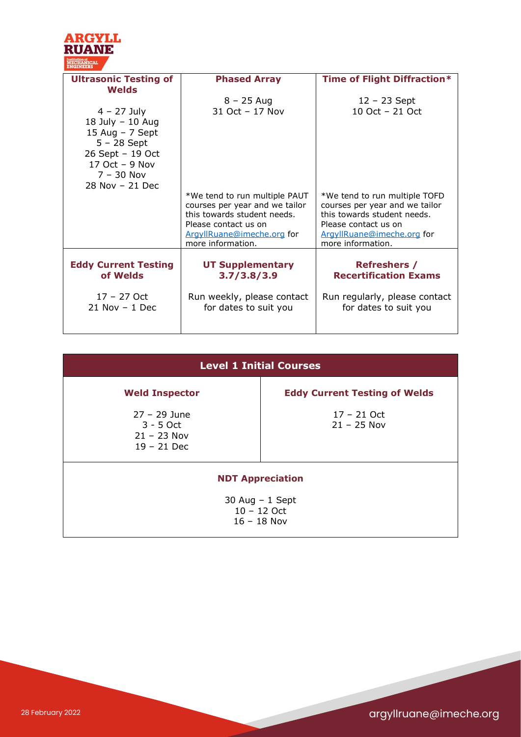

| <b>Ultrasonic Testing of</b>                                                                                                                 | <b>Phased Array</b>                                                                                                                                                       | Time of Flight Diffraction*                                                                                                                                               |
|----------------------------------------------------------------------------------------------------------------------------------------------|---------------------------------------------------------------------------------------------------------------------------------------------------------------------------|---------------------------------------------------------------------------------------------------------------------------------------------------------------------------|
| <b>Welds</b><br>$4 - 27$ July<br>18 July - 10 Aug<br>15 Aug $-7$ Sept<br>$5 - 28$ Sept<br>26 Sept - 19 Oct<br>17 Oct - 9 Nov<br>$7 - 30$ Nov | $8 - 25$ Aug<br>31 Oct - 17 Nov                                                                                                                                           | $12 - 23$ Sept<br>10 Oct – 21 Oct                                                                                                                                         |
| $28$ Nov - 21 Dec                                                                                                                            | *We tend to run multiple PAUT<br>courses per year and we tailor<br>this towards student needs.<br>Please contact us on<br>ArgyllRuane@imeche.org for<br>more information. | *We tend to run multiple TOFD<br>courses per year and we tailor<br>this towards student needs.<br>Please contact us on<br>ArgyllRuane@imeche.org for<br>more information. |
| <b>Eddy Current Testing</b><br>of Welds                                                                                                      | <b>UT Supplementary</b><br>3.7/3.8/3.9                                                                                                                                    | <b>Refreshers /</b><br><b>Recertification Exams</b>                                                                                                                       |
| $17 - 27$ Oct<br>$21$ Nov - 1 Dec                                                                                                            | Run weekly, please contact<br>for dates to suit you                                                                                                                       | Run regularly, please contact<br>for dates to suit you                                                                                                                    |

## **Level 1 Initial Courses**

#### **Weld Inspector**

## **Eddy Current Testing of Welds**

27 – 29 June 3 - 5 Oct 21 – 23 Nov 19 – 21 Dec

17 – 21 Oct 21 – 25 Nov

## **NDT Appreciation**

30 Aug – 1 Sept 10 – 12 Oct 16 – 18 Nov

argyllruane@imeche.org